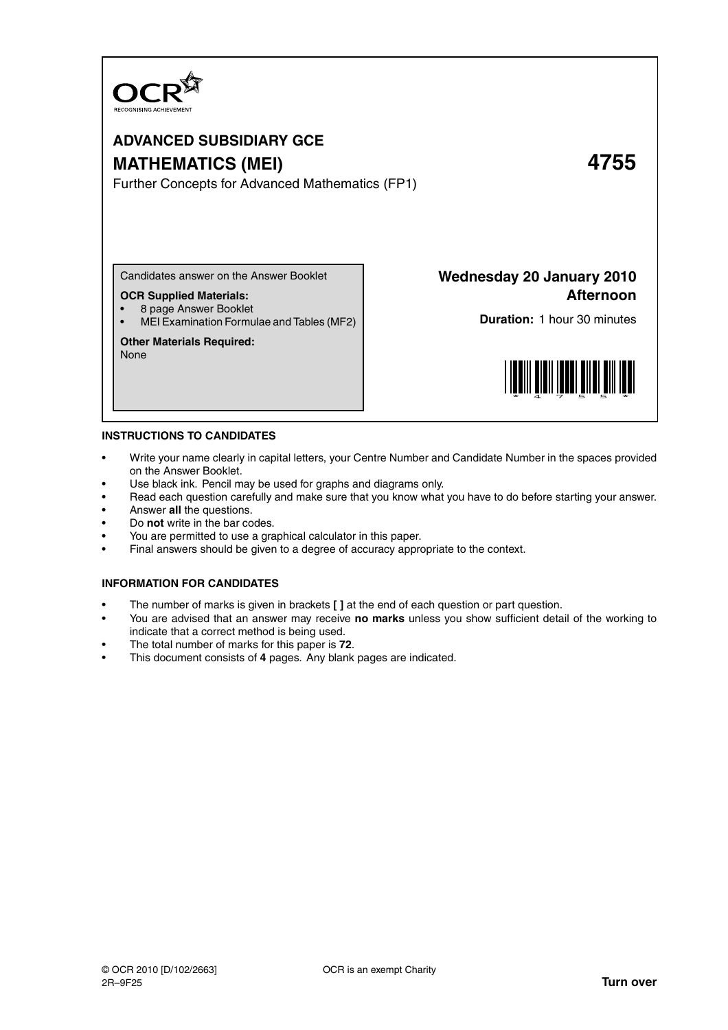

# **ADVANCED SUBSIDIARY GCE MATHEMATICS (MEI) 4755**

Further Concepts for Advanced Mathematics (FP1)

Candidates answer on the Answer Booklet

### **OCR Supplied Materials:**

- 8 page Answer Booklet
- MEI Examination Formulae and Tables (MF2)

### **Other Materials Required:**

None

**Wednesday 20 January 2010 Afternoon**

**Duration:** 1 hour 30 minutes



### **INSTRUCTIONS TO CANDIDATES**

- Write your name clearly in capital letters, your Centre Number and Candidate Number in the spaces provided on the Answer Booklet.
- Use black ink. Pencil may be used for graphs and diagrams only.
- Read each question carefully and make sure that you know what you have to do before starting your answer.
- Answer **all** the questions.
- Do **not** write in the bar codes.
- You are permitted to use a graphical calculator in this paper.
- Final answers should be given to a degree of accuracy appropriate to the context.

### **INFORMATION FOR CANDIDATES**

- The number of marks is given in brackets **[ ]** at the end of each question or part question.
- You are advised that an answer may receive **no marks** unless you show sufficient detail of the working to indicate that a correct method is being used.
- The total number of marks for this paper is **72**.
- This document consists of **4** pages. Any blank pages are indicated.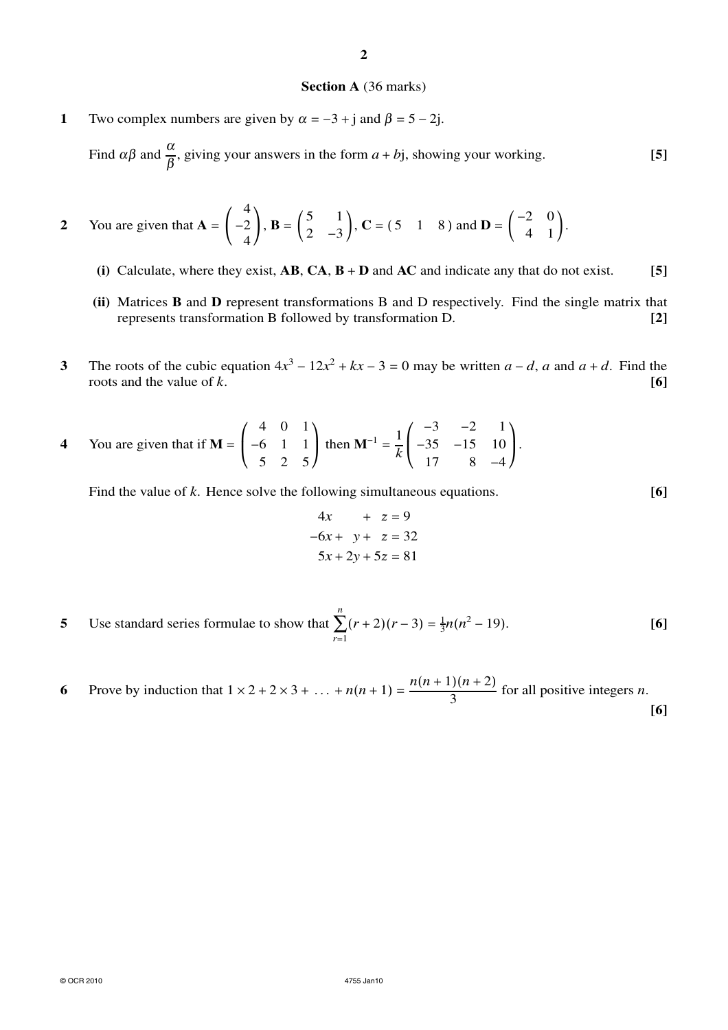## **2**

#### **Section A** (36 marks)

**1** Two complex numbers are given by  $\alpha = -3 + i$  and  $\beta = 5 - 2i$ .

Find  $\alpha\beta$  and  $\frac{\alpha}{\beta}$ , giving your answers in the form  $a + bj$ , showing your working. **[5]** 

2 You are given that 
$$
\mathbf{A} = \begin{pmatrix} 4 \\ -2 \\ 4 \end{pmatrix}
$$
,  $\mathbf{B} = \begin{pmatrix} 5 & 1 \\ 2 & -3 \end{pmatrix}$ ,  $\mathbf{C} = (5 \quad 1 \quad 8)$  and  $\mathbf{D} = \begin{pmatrix} -2 & 0 \\ 4 & 1 \end{pmatrix}$ .

- **(i)** Calculate, where they exist, **AB**, **CA**, **B** + **D** and **AC** and indicate any that do not exist. **[5]**
- **(ii)** Matrices **B** and **D** represent transformations B and D respectively. Find the single matrix that represents transformation B followed by transformation D. **[2]**
- **3** The roots of the cubic equation  $4x^3 12x^2 + kx 3 = 0$  may be written  $a d$ ,  $a$  and  $a + d$ . Find the roots and the value of *k*. **[6]**
- **4** You are given that if  $M = \left[ \right]$ 4 0 1 −6 1 1 5 2 5 then  $\mathbf{M}^{-1} = \frac{1}{k}$ *k*  $\overline{ }$ −3 −2 1 −35 −15 10 17 8 −4  $\cdot$

Find the value of *k*. Hence solve the following simultaneous equations. **[6]** 

$$
4x + z = 9
$$
  

$$
-6x + y + z = 32
$$
  

$$
5x + 2y + 5z = 81
$$

- **5** Use standard series formulae to show that *n* ∑ *r*=1  $(r+2)(r-3) = \frac{1}{3}n(n^2-19).$  [6]
- **6** Prove by induction that  $1 \times 2 + 2 \times 3 + ... + n(n+1) = \frac{n(n+1)(n+2)}{3}$  for all positive integers *n*. **[6]**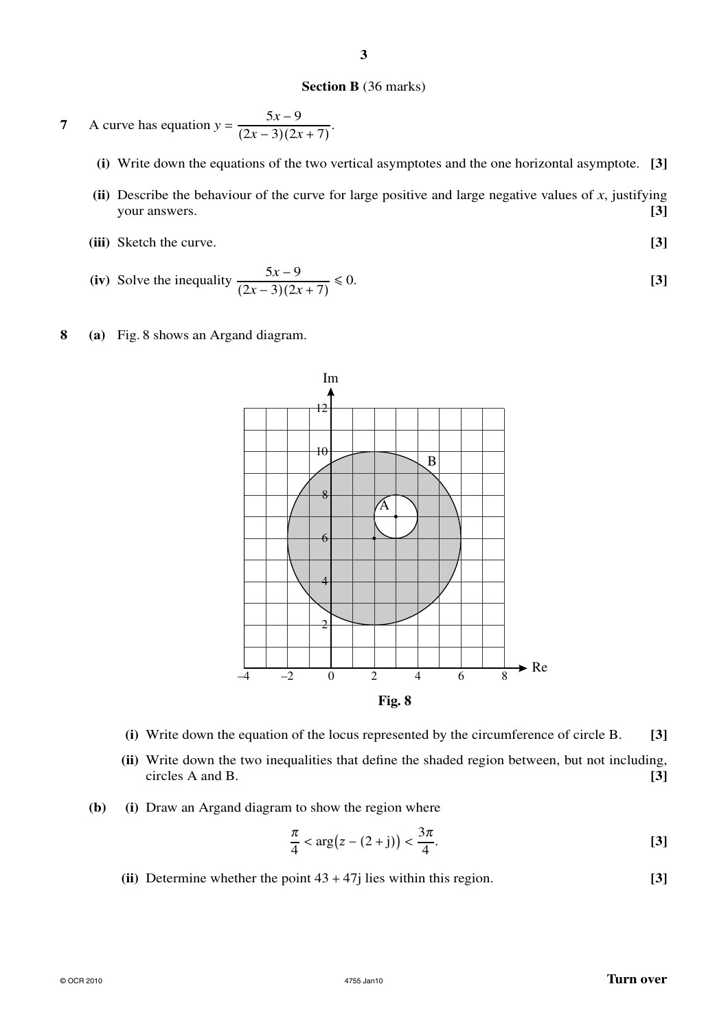### **Section B** (36 marks)

7 A curve has equation 
$$
y = \frac{5x - 9}{(2x - 3)(2x + 7)}.
$$

- **(i)** Write down the equations of the two vertical asymptotes and the one horizontal asymptote. **[3]**
- **(ii)** Describe the behaviour of the curve for large positive and large negative values of *x*, justifying your answers. **[3]**
- **(iii)** Sketch the curve. **[3]**
- (iv) Solve the inequality  $\frac{5x-9}{(2x-3)(2x+7)}$  $\leq 0.$  **[3]**
- **8 (a)** Fig. 8 shows an Argand diagram.



- **(i)** Write down the equation of the locus represented by the circumference of circle B. **[3]**
- **(ii)** Write down the two inequalities that define the shaded region between, but not including, circles A and B. **[3]**
- **(b) (i)** Draw an Argand diagram to show the region where

$$
\frac{\pi}{4} < \arg(z - (2 + j)) < \frac{3\pi}{4}.\tag{3}
$$

**(ii)** Determine whether the point 43 + 47j lies within this region. **[3]**